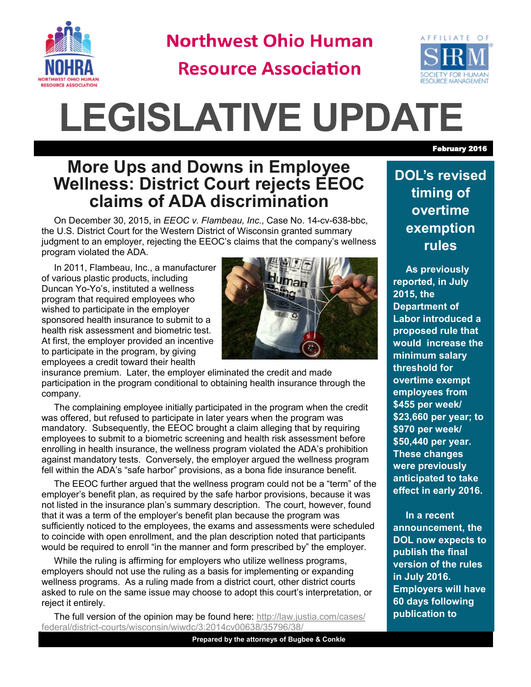

**Northwest Ohio Human** 

**Resource Association** 



# **LEGISLATIVE UPDATE**

### **More Ups and Downs in Employee Wellness: District Court rejects EEOC claims of ADA discrimination**

On December 30, 2015, in *EEOC v. Flambeau, Inc.*, Case No. 14-cv-638-bbc, the U.S. District Court for the Western District of Wisconsin granted summary judgment to an employer, rejecting the EEOC's claims that the company's wellness program violated the ADA.

In 2011, Flambeau, Inc., a manufacturer of various plastic products, including Duncan Yo-Yo's, instituted a wellness program that required employees who wished to participate in the employer sponsored health insurance to submit to a health risk assessment and biometric test. At first, the employer provided an incentive to participate in the program, by giving employees a credit toward their health



insurance premium. Later, the employer eliminated the credit and made participation in the program conditional to obtaining health insurance through the company.

The complaining employee initially participated in the program when the credit was offered, but refused to participate in later years when the program was mandatory. Subsequently, the EEOC brought a claim alleging that by requiring employees to submit to a biometric screening and health risk assessment before enrolling in health insurance, the wellness program violated the ADA's prohibition against mandatory tests. Conversely, the employer argued the wellness program fell within the ADA's "safe harbor" provisions, as a bona fide insurance benefit.

The EEOC further argued that the wellness program could not be a "term" of the employer's benefit plan, as required by the safe harbor provisions, because it was not listed in the insurance plan's summary description. The court, however, found that it was a term of the employer's benefit plan because the program was sufficiently noticed to the employees, the exams and assessments were scheduled to coincide with open enrollment, and the plan description noted that participants would be required to enroll "in the manner and form prescribed by" the employer.

While the ruling is affirming for employers who utilize wellness programs, employers should not use the ruling as a basis for implementing or expanding wellness programs. As a ruling made from a district court, other district courts asked to rule on the same issue may choose to adopt this court's interpretation, or reject it entirely.

The full version of the opinion may be found here: [http://law.justia.com/cases/](http://law.justia.com/cases/federal/district-courts/wisconsin/wiwdc/3:2014cv00638/35796/38/) federal/district-[courts/wisconsin/wiwdc/3:2014cv00638/35796/38/](http://law.justia.com/cases/federal/district-courts/wisconsin/wiwdc/3:2014cv00638/35796/38/)

#### **DOL's revised timing of overtime exemption rules**

**As previously reported, in July 2015, the Department of Labor introduced a proposed rule that would increase the minimum salary threshold for overtime exempt employees from \$455 per week/ \$23,660 per year; to \$970 per week/ \$50,440 per year. These changes were previously anticipated to take effect in early 2016.** 

**In a recent announcement, the DOL now expects to publish the final version of the rules in July 2016. Employers will have 60 days following publication to** 

February 2016